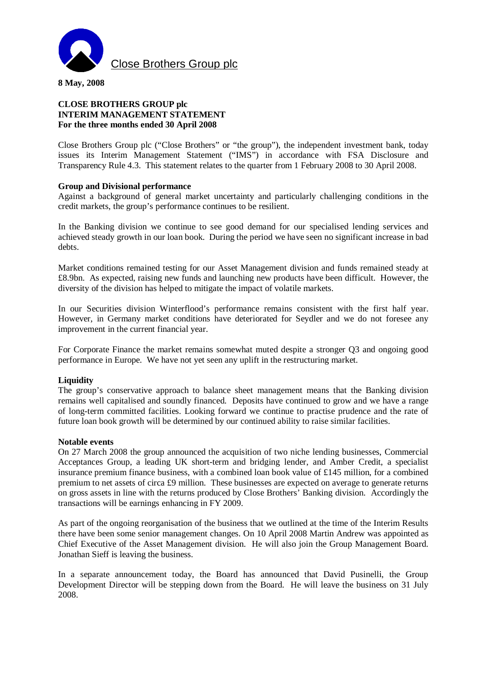

**8 May, 2008** 

# **CLOSE BROTHERS GROUP plc INTERIM MANAGEMENT STATEMENT For the three months ended 30 April 2008**

Close Brothers Group plc ("Close Brothers" or "the group"), the independent investment bank, today issues its Interim Management Statement ("IMS") in accordance with FSA Disclosure and Transparency Rule 4.3. This statement relates to the quarter from 1 February 2008 to 30 April 2008.

## **Group and Divisional performance**

Against a background of general market uncertainty and particularly challenging conditions in the credit markets, the group's performance continues to be resilient.

In the Banking division we continue to see good demand for our specialised lending services and achieved steady growth in our loan book. During the period we have seen no significant increase in bad debts.

Market conditions remained testing for our Asset Management division and funds remained steady at £8.9bn. As expected, raising new funds and launching new products have been difficult. However, the diversity of the division has helped to mitigate the impact of volatile markets.

In our Securities division Winterflood's performance remains consistent with the first half year. However, in Germany market conditions have deteriorated for Seydler and we do not foresee any improvement in the current financial year.

For Corporate Finance the market remains somewhat muted despite a stronger Q3 and ongoing good performance in Europe. We have not yet seen any uplift in the restructuring market.

## **Liquidity**

The group's conservative approach to balance sheet management means that the Banking division remains well capitalised and soundly financed. Deposits have continued to grow and we have a range of long-term committed facilities. Looking forward we continue to practise prudence and the rate of future loan book growth will be determined by our continued ability to raise similar facilities.

## **Notable events**

On 27 March 2008 the group announced the acquisition of two niche lending businesses, Commercial Acceptances Group, a leading UK short-term and bridging lender, and Amber Credit, a specialist insurance premium finance business, with a combined loan book value of £145 million, for a combined premium to net assets of circa £9 million. These businesses are expected on average to generate returns on gross assets in line with the returns produced by Close Brothers' Banking division. Accordingly the transactions will be earnings enhancing in FY 2009.

As part of the ongoing reorganisation of the business that we outlined at the time of the Interim Results there have been some senior management changes. On 10 April 2008 Martin Andrew was appointed as Chief Executive of the Asset Management division. He will also join the Group Management Board. Jonathan Sieff is leaving the business.

In a separate announcement today, the Board has announced that David Pusinelli, the Group Development Director will be stepping down from the Board. He will leave the business on 31 July 2008.